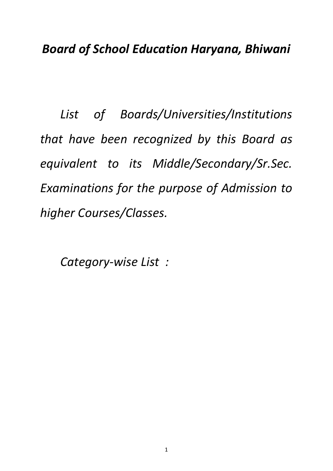*List of Boards/Universities/Institutions that have been recognized by this Board as equivalent to its Middle/Secondary/Sr.Sec. Examinations for the purpose of Admission to higher Courses/Classes.*

*Category-wise List :*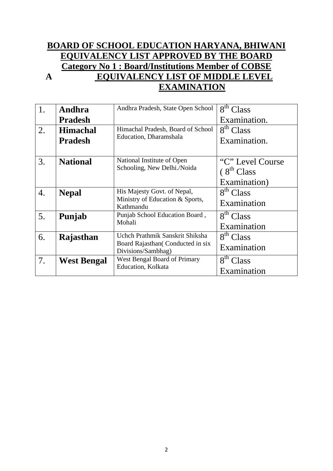#### **BOARD OF SCHOOL EDUCATION HARYANA, BHIWANI EQUIVALENCY LIST APPROVED BY THE BOARD Category No 1 : Board/Institutions Member of COBSE A EQUIVALENCY LIST OF MIDDLE LEVEL EXAMINATION**

| 1. | Andhra                                             | Andhra Pradesh, State Open School            | 8 <sup>th</sup> Class     |
|----|----------------------------------------------------|----------------------------------------------|---------------------------|
|    | <b>Pradesh</b>                                     |                                              | Examination.              |
| 2. | <b>Himachal</b>                                    | Himachal Pradesh, Board of School            | 8 <sup>th</sup> Class     |
|    | <b>Pradesh</b>                                     | Education, Dharamshala                       | Examination.              |
|    |                                                    |                                              |                           |
| 3. | <b>National</b>                                    | National Institute of Open                   | "C" Level Course"         |
|    |                                                    | Schooling, New Delhi./Noida                  | (8 <sup>th</sup> Class)   |
|    |                                                    |                                              | Examination)              |
| 4. | <b>Nepal</b>                                       | His Majesty Govt. of Nepal,                  | $\overline{8^{th}}$ Class |
|    |                                                    | Ministry of Education & Sports,<br>Kathmandu | Examination               |
| 5. | Punjab                                             | Punjab School Education Board,               | 8 <sup>th</sup> Class     |
|    |                                                    | Mohali                                       | Examination               |
| 6. | Rajasthan                                          | Uchch Prathmik Sanskrit Shiksha              | 8 <sup>th</sup> Class     |
|    |                                                    | Board Rajasthan (Conducted in six            | Examination               |
|    |                                                    | Divisions/Sambhag)                           |                           |
| 7. | West Bengal Board of Primary<br><b>West Bengal</b> |                                              | 8 <sup>th</sup> Class     |
|    |                                                    | Education, Kolkata                           | Examination               |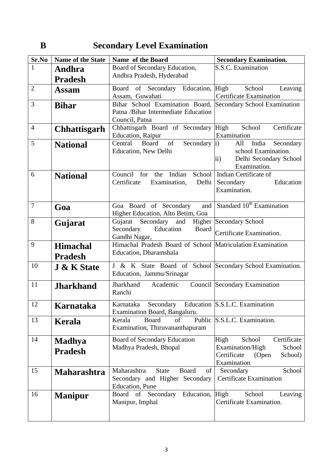# **B** Secondary Level Examination

| Sr.No          | Name of the State               | Name of the Board                                               | <b>Secondary Examination.</b>                 |
|----------------|---------------------------------|-----------------------------------------------------------------|-----------------------------------------------|
| $\mathbf{1}$   | Andhra                          | Board of Secondary Education,                                   | S.S.C. Examination                            |
|                | <b>Pradesh</b>                  | Andhra Pradesh, Hyderabad                                       |                                               |
| $\overline{2}$ | <b>Assam</b>                    | Board of Secondary Education, High School                       | Leaving                                       |
|                |                                 | Assam, Guwahati                                                 | Certificate Examination                       |
| 3              | <b>Bihar</b>                    | Bihar School Examination Board, Secondary School Examination    |                                               |
|                |                                 | Patna /Bihar Intermediate Education                             |                                               |
|                |                                 | Council, Patna                                                  |                                               |
| $\overline{4}$ | <b>Chhattisgarh</b>             | Chhattisgarh Board of Secondary High                            | School<br>Certificate                         |
|                |                                 | Education, Raipur                                               | Examination                                   |
| 5              | <b>National</b>                 | of<br>Secondary $ i\rangle$<br>Central<br>Board                 | All<br>India Secondary<br>school Examination. |
|                |                                 | <b>Education, New Delhi</b>                                     | $\mathbf{ii}$                                 |
|                |                                 |                                                                 | Delhi Secondary School<br>Examination.        |
| 6              |                                 | for the Indian<br>School<br>Council                             | Indian Certificate of                         |
|                | <b>National</b>                 | Certificate<br>Examination,<br>Delhi                            | Education<br>Secondary                        |
|                |                                 |                                                                 | Examination.                                  |
|                |                                 |                                                                 |                                               |
| $\tau$         | Goa                             | and<br>Goa Board of Secondary                                   | Standard 10 <sup>th</sup> Examination         |
|                |                                 | Higher Education, Alto Betim, Goa                               |                                               |
| 8              | Gujarat                         | Gujarat Secondary and Higher Secondary School                   |                                               |
|                | Education<br>Board<br>Secondary |                                                                 | Certificate Examination.                      |
|                |                                 | Gandhi Nagar,                                                   |                                               |
| 9              | <b>Himachal</b>                 | Himachal Pradesh Board of School Matriculation Examination      |                                               |
|                | <b>Pradesh</b>                  | Education, Dharamshala                                          |                                               |
| 10             | <b>J &amp; K State</b>          | J & K State Board of School Secondary School Examination.       |                                               |
|                |                                 | Education, Jammu/Srinagar                                       |                                               |
| 11             |                                 | Jharkhand<br>Academic                                           | Council Secondary Examination                 |
|                | <b>Jharkhand</b>                | Ranchi                                                          |                                               |
|                |                                 |                                                                 |                                               |
| 12             | Karnataka                       | Karnataka Secondary Education S.S.L.C. Examination              |                                               |
|                |                                 | Examination Board, Bangaluru.                                   |                                               |
| 13             | Kerala                          | Kerala<br><b>Board</b><br>of<br>Examination, Thiruvananthapuram | Public S.S.L.C. Examination.                  |
|                |                                 |                                                                 |                                               |
| 14             | <b>Madhya</b>                   | Board of Secondary Education                                    | Certificate<br>School<br>High                 |
|                | <b>Pradesh</b>                  | Madhya Pradesh, Bhopal                                          | Examination/High<br>School                    |
|                |                                 |                                                                 | Certificate<br>School)<br>(Open               |
|                |                                 |                                                                 | Examination                                   |
| 15             | <b>Maharashtra</b>              | Maharashtra<br>Board<br><b>State</b><br>of                      | School<br>Secondary                           |
|                |                                 | Secondary and Higher Secondary<br><b>Education</b> , Pune       | <b>Certificate Examination</b>                |
| 16             |                                 | Education, High<br>Board<br>of Secondary                        | School<br>Leaving                             |
|                | <b>Manipur</b>                  | Manipur, Imphal                                                 | Certificate Examination.                      |
|                |                                 |                                                                 |                                               |
|                |                                 |                                                                 |                                               |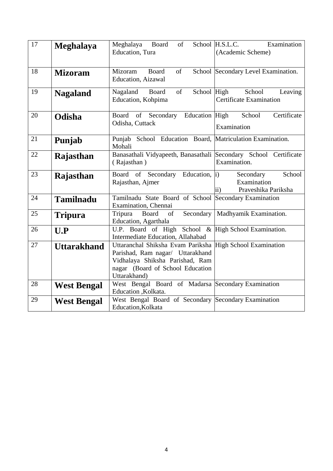| 17 | <b>Meghalaya</b>   | of<br>Meghalaya Board<br>Education, Tura                                                                                                                     | Examination<br>School H.S.L.C.<br>(Academic Scheme)                        |
|----|--------------------|--------------------------------------------------------------------------------------------------------------------------------------------------------------|----------------------------------------------------------------------------|
| 18 | <b>Mizoram</b>     | of<br>Mizoram<br>Board<br>Education, Aizawal                                                                                                                 | School Secondary Level Examination.                                        |
| 19 | <b>Nagaland</b>    | Nagaland Board<br>of<br>Education, Kohpima                                                                                                                   | School High<br>School<br>Leaving<br><b>Certificate Examination</b>         |
| 20 | Odisha             | Board of Secondary Education High<br>Odisha, Cuttack                                                                                                         | Certificate<br>School<br>Examination                                       |
| 21 | Punjab             | Punjab School Education Board, Matriculation Examination.<br>Mohali                                                                                          |                                                                            |
| 22 | Rajasthan          | Banasathali Vidyapeeth, Banasathali Secondary School Certificate<br>(Rajasthan)                                                                              | Examination.                                                               |
| 23 | Rajasthan          | Board of Secondary Education, i)<br>Rajasthan, Ajmer                                                                                                         | School<br>Secondary<br>Examination<br>Praveshika Pariksha<br>$\mathbf{ii}$ |
| 24 | <b>Tamilnadu</b>   | Tamilnadu State Board of School Secondary Examination<br>Examination, Chennai                                                                                |                                                                            |
| 25 | <b>Tripura</b>     | Secondary<br>Tripura<br>Board<br>of<br>Education, Agarthala                                                                                                  | Madhyamik Examination.                                                     |
| 26 | U.P                | U.P. Board of High School & High School Examination.<br>Intermediate Education, Allahabad                                                                    |                                                                            |
| 27 | <b>Uttarakhand</b> | Uttaranchal Shiksha Evam Pariksha<br>Parishad, Ram nagar/ Uttarakhand<br>Vidhalaya Shiksha Parishad, Ram<br>nagar (Board of School Education<br>Uttarakhand) | <b>High School Examination</b>                                             |
| 28 | <b>West Bengal</b> | West Bengal Board of Madarsa Secondary Examination<br>Education , Kolkata.                                                                                   |                                                                            |
| 29 | <b>West Bengal</b> | West Bengal Board of Secondary Secondary Examination<br>Education, Kolkata                                                                                   |                                                                            |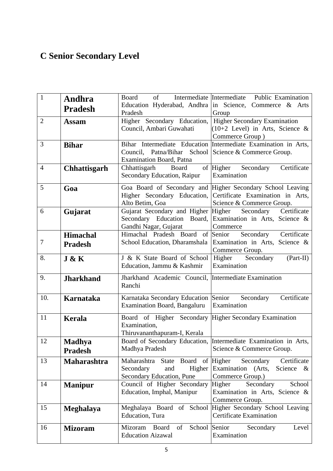# **C Senior Secondary Level**

| $\overline{1}$ | Andhra                     | Board                                                                                                  | of Intermediate Intermediate Public Examination<br>Education Hyderabad, Andhra in Science, Commerce & Arts                                              |
|----------------|----------------------------|--------------------------------------------------------------------------------------------------------|---------------------------------------------------------------------------------------------------------------------------------------------------------|
|                | <b>Pradesh</b>             | Pradesh                                                                                                | Group                                                                                                                                                   |
| $\overline{2}$ | <b>Assam</b>               | Higher Secondary Education,<br>Council, Ambari Guwahati                                                | Higher Secondary Examination<br>$(10+2$ Level) in Arts, Science &<br>Commerce Group)                                                                    |
| 3              | <b>Bihar</b>               | Council, Patna/Bihar School Science & Commerce Group.<br>Examination Board, Patna                      | Bihar Intermediate Education Intermediate Examination in Arts,                                                                                          |
| $\overline{4}$ | <b>Chhattisgarh</b>        | Chhattisgarh<br>Board<br>Secondary Education, Raipur                                                   | of Higher Secondary<br>Certificate<br>Examination                                                                                                       |
| 5              | Goa                        | Alto Betim, Goa                                                                                        | Goa Board of Secondary and Higher Secondary School Leaving<br>Higher Secondary Education, Certificate Examination in Arts,<br>Science & Commerce Group. |
| 6              | Gujarat                    | Gujarat Secondary and Higher Higher<br>Gandhi Nagar, Gujarat                                           | Secondary Certificate<br>Secondary Education Board, Examination in Arts, Science &<br>Commerce                                                          |
| 7              | Himachal<br><b>Pradesh</b> | Himachal Pradesh Board of Senior                                                                       | Certificate<br>Secondary<br>School Education, Dharamshala Examination in Arts, Science &<br>Commerce Group.                                             |
| 8.             | J & K                      | J & K State Board of School<br>Education, Jammu & Kashmir                                              | Higher Secondary<br>$(Part-II)$<br>Examination                                                                                                          |
| 9.             | <b>Jharkhand</b>           | Jharkhand Academic Council, Intermediate Examination<br>Ranchi                                         |                                                                                                                                                         |
| 10.            | Karnataka                  | Karnataka Secondary Education Senior<br><b>Examination Board, Bangaluru</b>                            | Certificate<br>Secondary<br>Examination                                                                                                                 |
| 11             | <b>Kerala</b>              | Board of Higher Secondary Higher Secondary Examination<br>Examination,<br>Thiruvananthapuram-I, Kerala |                                                                                                                                                         |
| 12             | Madhya<br><b>Pradesh</b>   | Madhya Pradesh                                                                                         | Board of Secondary Education, Intermediate Examination in Arts.<br>Science & Commerce Group.                                                            |
| 13             | <b>Maharashtra</b>         | State Board of Higher<br>Maharashtra<br>Higher<br>Secondary<br>and<br>Secondary Education, Pune        | Certificate<br>Secondary<br>Examination (Arts,<br>Science $\&$<br>Commerce Group.)                                                                      |
| 14             | <b>Manipur</b>             | Council of Higher Secondary<br>Education, Imphal, Manipur                                              | Higher<br>Secondary<br>School<br>Examination in Arts, Science &<br>Commerce Group.                                                                      |
| 15             | Meghalaya                  | Meghalaya Board of School<br>Education, Tura                                                           | Higher Secondary School Leaving<br><b>Certificate Examination</b>                                                                                       |
| 16             | <b>Mizoram</b>             | School<br>Mizoram<br>Board<br>of<br><b>Education Aizawal</b>                                           | Senior<br>Secondary<br>Level<br>Examination                                                                                                             |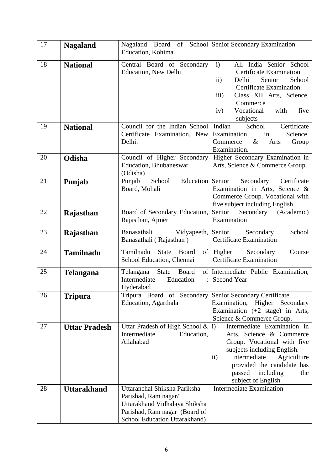| 17 | <b>Nagaland</b>      | Nagaland Board of School Senior Secondary Examination<br>Education, Kohima                                                                              |                                                                                                                                                                                                                                                      |
|----|----------------------|---------------------------------------------------------------------------------------------------------------------------------------------------------|------------------------------------------------------------------------------------------------------------------------------------------------------------------------------------------------------------------------------------------------------|
| 18 | <b>National</b>      | Central Board of Secondary<br>Education, New Delhi                                                                                                      | All India Senior School<br>$\mathbf{i}$<br><b>Certificate Examination</b><br>$\mathbf{ii}$<br>Delhi<br>Senior<br>School<br>Certificate Examination.<br>iii)<br>Class XII Arts, Science,<br>Commerce<br>Vocational<br>with<br>five<br>iv)<br>subjects |
| 19 | <b>National</b>      | Council for the Indian School<br>Certificate Examination, New<br>Delhi.                                                                                 | Indian<br>School<br>Certificate<br>Examination<br>Science,<br>in<br>Commerce<br>$\&$<br>Arts<br>Group<br>Examination.                                                                                                                                |
| 20 | Odisha               | Council of Higher Secondary<br>Education, Bhubaneswar<br>(Odisha)                                                                                       | Higher Secondary Examination in<br>Arts, Science & Commerce Group.                                                                                                                                                                                   |
| 21 | Punjab               | Education Senior<br>Punjab<br>School<br>Board, Mohali                                                                                                   | Secondary<br>Certificate<br>Examination in Arts, Science &<br>Commerce Group. Vocational with<br>five subject including English.                                                                                                                     |
| 22 | Rajasthan            | Board of Secondary Education,<br>Rajasthan, Ajmer                                                                                                       | Senior<br>Secondary (Academic)<br>Examination                                                                                                                                                                                                        |
| 23 | Rajasthan            | Banasathali<br>Vidyapeeth,<br>Banasathali (Rajasthan)                                                                                                   | Senior<br>Secondary<br>School<br><b>Certificate Examination</b>                                                                                                                                                                                      |
| 24 | <b>Tamilnadu</b>     | Tamilnadu<br><b>State</b><br>Board<br>of<br>School Education, Chennai                                                                                   | Higher<br>Secondary<br>Course<br><b>Certificate Examination</b>                                                                                                                                                                                      |
| 25 | Telangana            | State<br>Board<br>Telangana<br>Intermediate<br>Education<br>$\ddot{\cdot}$<br>Hyderabad                                                                 | of Intermediate Public Examination,<br>Second Year                                                                                                                                                                                                   |
| 26 | <b>Tripura</b>       | Tripura Board of Secondary<br>Education, Agarthala                                                                                                      | Senior Secondary Certificate<br>Examination, Higher Secondary<br>Examination $(+2 \text{ stage})$ in Arts,<br>Science & Commerce Group.                                                                                                              |
| 27 | <b>Uttar Pradesh</b> | Uttar Pradesh of High School $\&$ i)<br>Intermediate<br>Education,<br>Allahabad                                                                         | Intermediate Examination in<br>Arts, Science & Commerce<br>Group. Vocational with five<br>subjects including English.<br>Intermediate<br>Agriculture<br>ii)<br>provided the candidate has<br>including<br>passed<br>the<br>subject of English        |
| 28 | <b>Uttarakhand</b>   | Uttaranchal Shiksha Pariksha<br>Parishad, Ram nagar/<br>Uttarakhand Vidhalaya Shiksha<br>Parishad, Ram nagar (Board of<br>School Education Uttarakhand) | <b>Intermediate Examination</b>                                                                                                                                                                                                                      |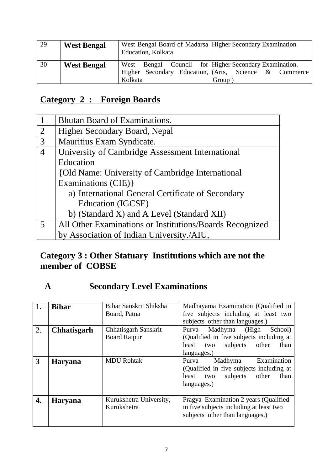| 29 | <b>West Bengal</b> | West Bengal Board of Madarsa Higher Secondary Examination<br>Education, Kolkata                                                     |
|----|--------------------|-------------------------------------------------------------------------------------------------------------------------------------|
| 30 | <b>West Bengal</b> | West Bengal Council for Higher Secondary Examination.<br>Higher Secondary Education, (Arts, Science & Commerce)<br>Kolkata<br>Group |

# **Category 2 : Foreign Boards**

| $\mathbf{1}$   | Bhutan Board of Examinations.                            |
|----------------|----------------------------------------------------------|
| 2              | Higher Secondary Board, Nepal                            |
| 3              | Mauritius Exam Syndicate.                                |
| $\overline{4}$ | University of Cambridge Assessment International         |
|                | Education                                                |
|                | {Old Name: University of Cambridge International         |
|                | Examinations (CIE) }                                     |
|                | a) International General Certificate of Secondary        |
|                | Education (IGCSE)                                        |
|                | b) (Standard X) and A Level (Standard XII)               |
| 5              | All Other Examinations or Institutions/Boards Recognized |
|                | by Association of Indian University./AIU,                |

# **Category 3 : Other Statuary Institutions which are not the member of COBSE**

# **A Secondary Level Examinations**

| 1. | <b>Bihar</b>       | Bihar Sanskrit Shiksha<br>Board, Patna      | Madhayama Examination (Qualified in<br>five subjects including at least two<br>subjects other than languages.)                         |
|----|--------------------|---------------------------------------------|----------------------------------------------------------------------------------------------------------------------------------------|
| 2. | <b>Chhatisgarh</b> | Chhatisgarh Sanskrit<br><b>Board Raipur</b> | Madhyma (High<br>School)<br>Purva<br>(Qualified in five subjects including at<br>subjects other<br>than<br>least<br>two<br>languages.) |
| 3  | <b>Haryana</b>     | <b>MDU Rohtak</b>                           | Madhyma<br>Examination<br>Purva<br>(Qualified in five subjects including at<br>two subjects other<br>than<br>least<br>languages.)      |
| 4. | <b>Haryana</b>     | Kurukshetra University,<br>Kurukshetra      | Pragya Examination 2 years (Qualified)<br>in five subjects including at least two<br>subjects other than languages.)                   |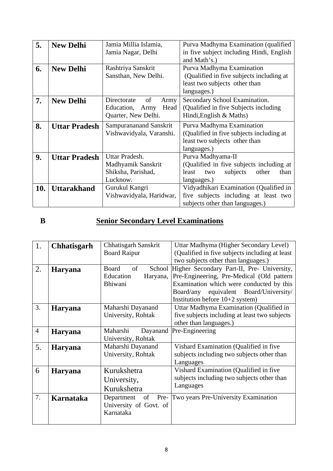| 5.  | <b>New Delhi</b>     | Jamia Millia Islamia,      | Purva Madhyma Examination (qualified      |
|-----|----------------------|----------------------------|-------------------------------------------|
|     |                      | Jamia Nagar, Delhi         | in five subject including Hindi, English  |
|     |                      |                            | and Math's.)                              |
| 6.  | <b>New Delhi</b>     | Rashtriya Sanskrit         | Purva Madhyma Examination                 |
|     |                      | Sansthan, New Delhi.       | (Qualified in five subjects including at  |
|     |                      |                            | least two subjects other than             |
|     |                      |                            | languages.)                               |
| 7.  | <b>New Delhi</b>     | of<br>Directorate<br>Army  | Secondary School Examination.             |
|     |                      | Education,<br>Head<br>Army | (Qualified in five Subjects including)    |
|     |                      | Quarter, New Delhi.        | Hindi, English & Maths)                   |
| 8.  | <b>Uttar Pradesh</b> | Sampurananand Sanskrit     | Purva Madhyma Examination                 |
|     |                      | Vishwavidyala, Varanshi.   | (Qualified in five subjects including at  |
|     |                      |                            | least two subjects other than             |
|     |                      |                            | languages.)                               |
| 9.  | <b>Uttar Pradesh</b> | Uttar Pradesh.             | Purva Madhyama-II                         |
|     |                      | Madhyamik Sanskrit         | (Qualified in five subjects including at  |
|     |                      | Shiksha, Parishad,         | subjects<br>other<br>least<br>than<br>two |
|     |                      | Lucknow.                   | languages.)                               |
| 10. | Uttarakhand          | Gurukul Kangri             | Vidyadhikari Examination (Qualified in    |
|     |                      | Vishwavidyala, Haridwar,   | five subjects including at least two      |
|     |                      |                            | subjects other than languages.)           |

# **B Senior Secondary Level Examinations**

| 1.             | <b>Chhatisgarh</b> | Chhatisgarh Sanskrit   | Uttar Madhyma (Higher Secondary Level)            |
|----------------|--------------------|------------------------|---------------------------------------------------|
|                |                    | <b>Board Raipur</b>    | (Qualified in five subjects including at least)   |
|                |                    |                        | two subjects other than languages.)               |
| 2.             | <b>Haryana</b>     | of<br>Board            | School Higher Secondary Part-II, Pre- University, |
|                |                    | Education<br>Haryana,  | Pre-Engineering, Pre-Medical (Old pattern         |
|                |                    | Bhiwani                | Examination which were conducted by this          |
|                |                    |                        | equivalent Board/University/<br>Board/any         |
|                |                    |                        | Institution before $10+2$ system)                 |
| 3.             | <b>Haryana</b>     | Maharshi Dayanand      | Uttar Madhyma Examination (Qualified in           |
|                |                    | University, Rohtak     | five subjects including at least two subjects     |
|                |                    |                        | other than languages.)                            |
| $\overline{4}$ | <b>Haryana</b>     | Maharshi<br>Dayanand   | Pre-Engineering                                   |
|                |                    | University, Rohtak     |                                                   |
| 5.             | <b>Haryana</b>     | Maharshi Dayanand      | Vishard Examination (Qualified in five            |
|                |                    | University, Rohtak     | subjects including two subjects other than        |
|                |                    |                        | Languages                                         |
| 6              | <b>Haryana</b>     | Kurukshetra            | Vishard Examination (Qualified in five            |
|                |                    | University,            | subjects including two subjects other than        |
|                |                    | Kurukshetra            | Languages                                         |
| 7.             | Karnataka          | Department<br>of       | Pre- Two years Pre-University Examination         |
|                |                    | University of Govt. of |                                                   |
|                |                    | Karnataka              |                                                   |
|                |                    |                        |                                                   |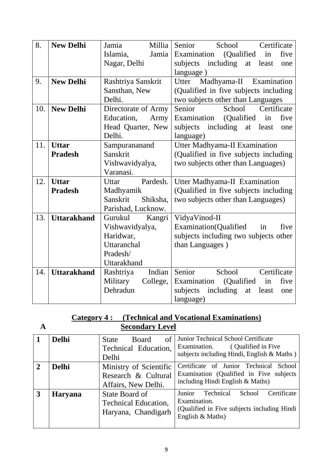| 8.  | <b>New Delhi</b>   | Jamia<br>Millia      | Senior<br>School<br>Certificate             |
|-----|--------------------|----------------------|---------------------------------------------|
|     |                    | Jamia<br>Islamia,    | Examination<br>(Qualified)<br>in<br>five    |
|     |                    | Nagar, Delhi         | subjects<br>including<br>least<br>at<br>one |
|     |                    |                      | language)                                   |
| 9.  | <b>New Delhi</b>   | Rashtriya Sanskrit   | Utter<br>Madhyama-II Examination            |
|     |                    | Sansthan, New        | (Qualified in five subjects including       |
|     |                    | Delhi.               | two subjects other than Languages           |
| 10. | <b>New Delhi</b>   | Directorate of Army  | Senior<br>School<br>Certificate             |
|     |                    | Education,<br>Army   | Examination<br>(Qualified)<br>in<br>five    |
|     |                    | Head Quarter, New    | subjects<br>including<br>at<br>least<br>one |
|     |                    | Delhi.               | language)                                   |
| 11. | <b>Uttar</b>       | Sampurananand        | <b>Utter Madhyama-II Examination</b>        |
|     | <b>Pradesh</b>     | Sanskrit             | (Qualified in five subjects including       |
|     |                    | Vishwavidyalya,      | two subjects other than Languages)          |
|     |                    | Varanasi.            |                                             |
| 12. | <b>Uttar</b>       | Pardesh.<br>Uttar    | Utter Madhyama-II Examination               |
|     | <b>Pradesh</b>     | Madhyamik            | (Qualified in five subjects including       |
|     |                    | Sanskrit<br>Shiksha, | two subjects other than Languages)          |
|     |                    | Parishad, Lucknow.   |                                             |
| 13. | <b>Uttarakhand</b> | Gurukul<br>Kangri    | VidyaVinod-II                               |
|     |                    | Vishwavidyalya,      | Examination(Qualified<br>five<br>in         |
|     |                    | Haridwar,            | subjects including two subjects other       |
|     |                    | Uttaranchal          | than Languages)                             |
|     |                    | Pradesh/             |                                             |
|     |                    | Uttarakhand          |                                             |
| 14. | <b>Uttarakhand</b> | Indian<br>Rashtriya  | Senior<br>School<br>Certificate             |
|     |                    | Military<br>College, | Examination<br>(Qualified)<br>five<br>in    |
|     |                    | Dehradun             | including<br>subjects<br>least<br>at<br>one |
|     |                    |                      | language)                                   |

#### **Category 4 : (Technical and Vocational Examinations) A Secondary Level**

|                | <b>Delhi</b>   | of<br><b>Board</b><br><b>State</b><br>Technical Education,<br>Delhi  | Junior Technical School Certificate<br>Examination.<br>(Qualified in Five)<br>subjects including Hindi, English & Maths)         |
|----------------|----------------|----------------------------------------------------------------------|----------------------------------------------------------------------------------------------------------------------------------|
| $\overline{2}$ | <b>Delhi</b>   | Ministry of Scientific<br>Research & Cultural<br>Affairs, New Delhi. | Certificate of Junior Technical<br>School<br>Examination (Qualified in Five subjects<br>including Hindi English & Maths)         |
| 3              | <b>Haryana</b> | State Board of<br><b>Technical Education,</b><br>Haryana, Chandigarh | Certificate<br>Junior<br>Technical<br>School<br>Examination.<br>(Qualified in Five subjects including Hindi)<br>English & Maths) |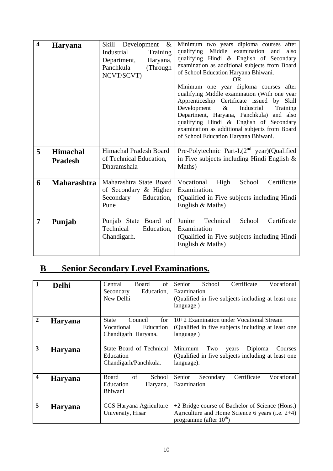| $\overline{\mathbf{4}}$ | <b>Haryana</b>                    | Skill Development<br>$\&$<br>Industrial<br>Training<br>Haryana,<br>Department,<br>Panchkula<br>(Through)<br>NCVT/SCVT) | Minimum two years diploma courses<br>after<br>Middle examination<br>qualifying<br>and<br>also<br>qualifying Hindi & English of Secondary<br>examination as additional subjects from Board<br>of School Education Haryana Bhiwani.<br><b>OR</b><br>Minimum one year diploma courses after<br>qualifying Middle examination (With one year<br>Apprenticeship Certificate issued by Skill<br>Development<br>$\&$<br>Industrial<br>Training<br>Department, Haryana, Panchkula) and also<br>qualifying Hindi & English of Secondary<br>examination as additional subjects from Board<br>of School Education Haryana Bhiwani. |
|-------------------------|-----------------------------------|------------------------------------------------------------------------------------------------------------------------|-------------------------------------------------------------------------------------------------------------------------------------------------------------------------------------------------------------------------------------------------------------------------------------------------------------------------------------------------------------------------------------------------------------------------------------------------------------------------------------------------------------------------------------------------------------------------------------------------------------------------|
| 5                       | <b>Himachal</b><br><b>Pradesh</b> | Himachal Pradesh Board<br>of Technical Education,<br>Dharamshala                                                       | Pre-Polytechnic Part-I. $(2^{nd}$ year)(Qualified<br>in Five subjects including Hindi English $\&$<br>Maths)                                                                                                                                                                                                                                                                                                                                                                                                                                                                                                            |
| 6                       | <b>Maharashtra</b>                | Maharashtra State Board<br>of Secondary & Higher<br>Secondary<br>Education,<br>Pune                                    | Vocational High<br>Certificate<br>School<br>Examination.<br>(Qualified in Five subjects including Hindi)<br>English & Maths)                                                                                                                                                                                                                                                                                                                                                                                                                                                                                            |
| $\overline{7}$          | Punjab                            | Punjab State Board of<br>Technical<br>Education,<br>Chandigarh.                                                        | Junior<br>Technical<br>School<br>Certificate<br>Examination<br>(Qualified in Five subjects including Hindi)<br>English & Maths)                                                                                                                                                                                                                                                                                                                                                                                                                                                                                         |

# **B Senior Secondary Level Examinations.**

| $\mathbf{1}$            | <b>Delhi</b>   | of<br>Central<br>Board<br>Education,<br>Secondary<br>New Delhi                   | Senior<br>School<br>Certificate<br>Vocational<br>Examination<br>(Qualified in five subjects including at least one)<br>language)   |
|-------------------------|----------------|----------------------------------------------------------------------------------|------------------------------------------------------------------------------------------------------------------------------------|
| $\overline{2}$          | <b>Haryana</b> | for<br><b>State</b><br>Council<br>Education<br>Vocational<br>Chandigarh Haryana. | 10+2 Examination under Vocational Stream<br>(Qualified in five subjects including at least one)<br>language)                       |
| 3                       | <b>Haryana</b> | State Board of Technical<br>Education<br>Chandigarh/Panchkula.                   | Minimum<br>Two<br>Diploma<br>Courses<br>years<br>(Qualified in five subjects including at least one)<br>language).                 |
| $\overline{\mathbf{4}}$ | <b>Haryana</b> | <b>Board</b><br>of<br>School<br>Education<br>Haryana,<br>Bhiwani                 | Senior<br>Vocational<br>Certificate<br>Secondary<br>Examination                                                                    |
| 5                       | <b>Haryana</b> | CCS Haryana Agriculture<br>University, Hisar                                     | +2 Bridge course of Bachelor of Science (Hons.)<br>Agriculture and Home Science 6 years (i.e. 2+4)<br>programme (after $10^{th}$ ) |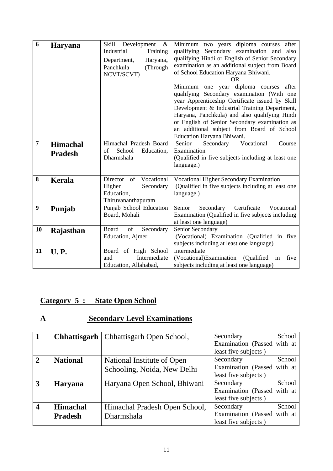| 6              | <b>Haryana</b>                    | Skill<br>Development<br>$\&$<br>Industrial<br>Training<br>Department,<br>Haryana,<br>Panchkula<br>(Through<br>NCVT/SCVT) | Minimum two years diploma courses<br>after<br>qualifying<br>Secondary examination<br>also<br>and<br>qualifying Hindi or English of Senior Secondary<br>examination as an additional subject from Board<br>of School Education Haryana Bhiwani.<br>OR<br>Minimum one year diploma courses<br>after<br>qualifying Secondary examination (With one<br>year Apprenticeship Certificate issued by Skill<br>Development & Industrial Training Department,<br>Haryana, Panchkula) and also qualifying Hindi<br>or English of Senior Secondary examination as<br>an additional subject from Board of School<br>Education Haryana Bhiwani. |
|----------------|-----------------------------------|--------------------------------------------------------------------------------------------------------------------------|-----------------------------------------------------------------------------------------------------------------------------------------------------------------------------------------------------------------------------------------------------------------------------------------------------------------------------------------------------------------------------------------------------------------------------------------------------------------------------------------------------------------------------------------------------------------------------------------------------------------------------------|
| $\overline{7}$ | <b>Himachal</b><br><b>Pradesh</b> | Himachal Pradesh Board<br>of<br>School<br>Education,<br>Dharmshala                                                       | Senior<br>Vocational<br>Secondary<br>Course<br>Examination<br>(Qualified in five subjects including at least one<br>language.)                                                                                                                                                                                                                                                                                                                                                                                                                                                                                                    |
| 8              | <b>Kerala</b>                     | of<br>Vocational<br>Director<br>Higher<br>Secondary<br>Education,<br>Thiruvananthapuram                                  | Vocational Higher Secondary Examination<br>(Qualified in five subjects including at least one<br>language.)                                                                                                                                                                                                                                                                                                                                                                                                                                                                                                                       |
| 9              | Punjab                            | Punjab School Education<br>Board, Mohali                                                                                 | Certificate<br>Secondary<br>Vocational<br>Senior<br>Examination (Qualified in five subjects including<br>at least one language)                                                                                                                                                                                                                                                                                                                                                                                                                                                                                                   |
| 10             | Rajasthan                         | of<br>Board<br>Secondary<br>Education, Ajmer                                                                             | Senior Secondary<br>(Vocational) Examination (Qualified in five<br>subjects including at least one language)                                                                                                                                                                                                                                                                                                                                                                                                                                                                                                                      |
| 11             | <b>U.P.</b>                       | Board of High School<br>Intermediate<br>and<br>Education, Allahabad,                                                     | Intermediate<br>(Vocational)Examination<br>five<br>(Qualified)<br>in<br>subjects including at least one language)                                                                                                                                                                                                                                                                                                                                                                                                                                                                                                                 |

# **Category 5 : State Open School**

# **A Secondary Level Examinations**

| $\mathbf{1}$            |                 | <b>Chhattisgarh</b>   Chhattisgarh Open School, | School<br>Secondary         |
|-------------------------|-----------------|-------------------------------------------------|-----------------------------|
|                         |                 |                                                 | Examination (Passed with at |
|                         |                 |                                                 | least five subjects)        |
| $\overline{2}$          | <b>National</b> | National Institute of Open                      | School<br>Secondary         |
|                         |                 | Schooling, Noida, New Delhi                     | Examination (Passed with at |
|                         |                 |                                                 | least five subjects)        |
| $\overline{3}$          | <b>Haryana</b>  | Haryana Open School, Bhiwani                    | School<br>Secondary         |
|                         |                 |                                                 | Examination (Passed with at |
|                         |                 |                                                 | least five subjects)        |
| $\overline{\mathbf{4}}$ | <b>Himachal</b> | Himachal Pradesh Open School,                   | School<br>Secondary         |
|                         | <b>Pradesh</b>  | Dharmshala                                      | Examination (Passed with at |
|                         |                 |                                                 | least five subjects)        |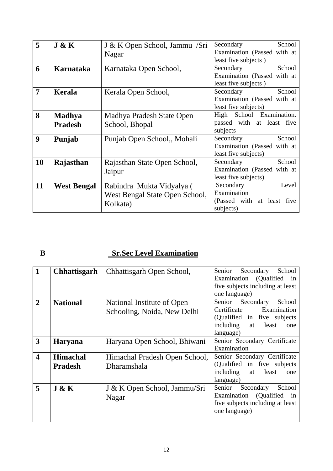| 5  | J & K                           | J & K Open School, Jammu /Sri<br>Nagar                                  | School<br>Secondary<br>Examination (Passed with at<br>least five subjects)   |
|----|---------------------------------|-------------------------------------------------------------------------|------------------------------------------------------------------------------|
| 6  | Karnataka                       | Karnataka Open School,                                                  | School<br>Secondary<br>Examination (Passed with at<br>least five subjects)   |
| 7  | Kerala                          | Kerala Open School,                                                     | School<br>Secondary<br>Examination (Passed with at<br>least five subjects)   |
| 8  | <b>Madhya</b><br><b>Pradesh</b> | Madhya Pradesh State Open<br>School, Bhopal                             | High School Examination.<br>passed with at least five<br>subjects            |
| 9  | Punjab                          | Punjab Open School,, Mohali                                             | School<br>Secondary<br>Examination (Passed with at<br>least five subjects)   |
| 10 | Rajasthan                       | Rajasthan State Open School,<br>Jaipur                                  | School<br>Secondary<br>Examination (Passed with at<br>least five subjects)   |
| 11 | <b>West Bengal</b>              | Rabindra Mukta Vidyalya (<br>West Bengal State Open School,<br>Kolkata) | Secondary<br>Level<br>Examination<br>(Passed with at least five<br>subjects) |

#### **B** Sr.Sec Level Examination

| $\mathbf{1}$            | <b>Chhattisgarh</b>               | Chhattisgarh Open School,                                 | Senior<br>Secondary<br>School<br>Examination (Qualified)<br>in<br>five subjects including at least<br>one language)                         |
|-------------------------|-----------------------------------|-----------------------------------------------------------|---------------------------------------------------------------------------------------------------------------------------------------------|
| $\overline{2}$          | <b>National</b>                   | National Institute of Open<br>Schooling, Noida, New Delhi | Secondary<br>School<br>Senior<br>Certificate<br>Examination<br>(Qualified in five subjects)<br>including<br>least<br>at<br>one<br>language) |
| 3                       | <b>Haryana</b>                    | Haryana Open School, Bhiwani                              | Senior Secondary Certificate<br>Examination                                                                                                 |
| $\overline{\mathbf{4}}$ | <b>Himachal</b><br><b>Pradesh</b> | Himachal Pradesh Open School,<br>Dharamshala              | Senior Secondary Certificate<br>(Qualified in five subjects)<br>including<br>least<br>at<br>one<br>language)                                |
| 5                       | J & K                             | J & K Open School, Jammu/Sri<br>Nagar                     | Secondary<br>School<br>Senior<br>Examination (Qualified)<br>in<br>five subjects including at least<br>one language)                         |